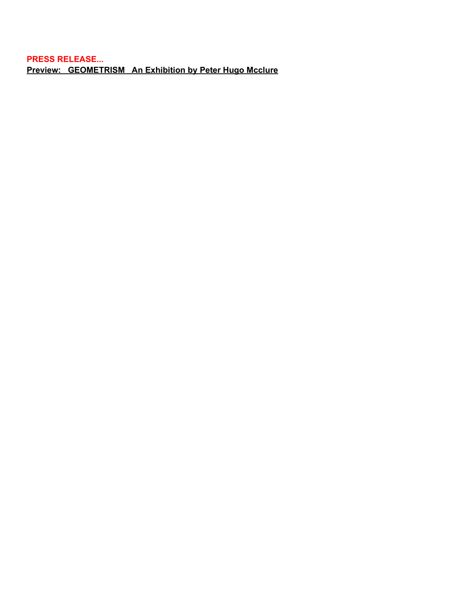**PRESS RELEASE... Preview: GEOMETRISM An Exhibition by Peter Hugo Mcclure**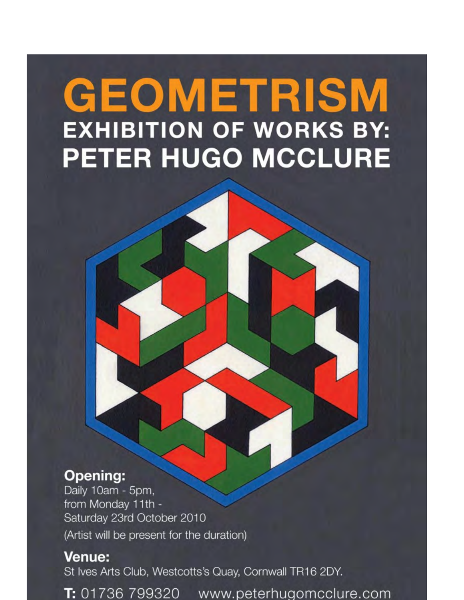## **GEOMETRISM EXHIBITION OF WORKS BY: PETER HUGO MCCLURE**

## **Opening:**

Daily 10am - 5pm, from Monday 11th -Saturday 23rd October 2010 (Artist will be present for the duration)

## **Venue:**

St Ives Arts Club, Westcotts's Quay, Cornwall TR16 2DY.

T: 01736 799320 www.peterhugomcclure.com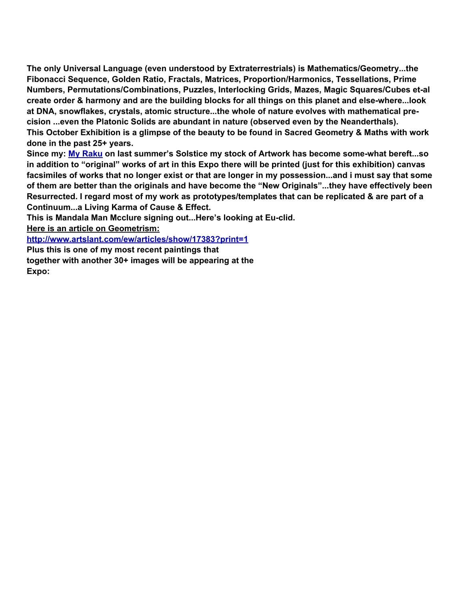**The only Universal Language (even understood by Extraterrestrials) is Mathematics/Geometry...the Fibonacci Sequence, Golden Ratio, Fractals, Matrices, Proportion/Harmonics, Tessellations, Prime Numbers, Permutations/Combinations, Puzzles, Interlocking Grids, Mazes, Magic Squares/Cubes et-al create order & harmony and are the building blocks for all things on this planet and else-where...look at DNA, snowflakes, crystals, atomic structure...the whole of nature evolves with mathematical precision ...even the Platonic Solids are abundant in nature (observed even by the Neanderthals). This October Exhibition is a glimpse of the beauty to be found in Sacred Geometry & Maths with work done in the past 25+ years.**

**Since my: [My Raku](http://peterhugomcclure-raku.blogspot.com/) on last summer's Solstice my stock of Artwork has become some-what bereft...so in addition to "original" works of art in this Expo there will be printed (just for this exhibition) canvas facsimiles of works that no longer exist or that are longer in my possession...and i must say that some of them are better than the originals and have become the "New Originals"...they have effectively been Resurrected. I regard most of my work as prototypes/templates that can be replicated & are part of a Continuum...a Living Karma of Cause & Effect.**

**This is Mandala Man Mcclure signing out...Here's looking at Eu-clid.**

**Here is an article on Geometrism:**

**[http://www.artslant.com/ew/articles/show/17383?print=1](http://www.google.com/url?q=http%3A%2F%2Fwww.artslant.com%2Few%2Farticles%2Fshow%2F17383%3Fprint%3D1&sa=D&sntz=1&usg=AFQjCNEhc8JiBK0-8S9ilRzYNdPh7w2P4g)**

**Plus this is one of my most recent paintings that together with another 30+ images will be appearing at the Expo:**